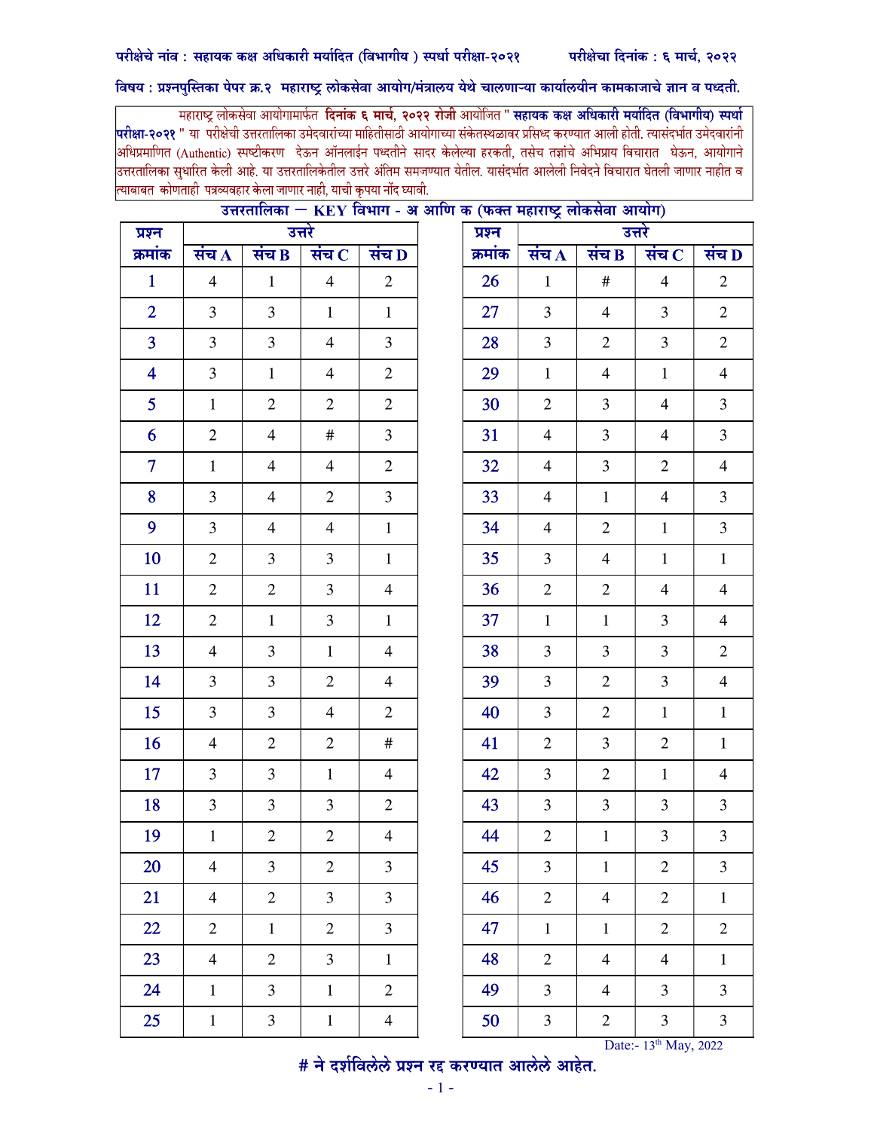## विषय : प्रश्नपुस्तिका पेपर क्र.२ महाराष्ट्र लोकसेवा आयोग/मंत्रालय येथे चालणाऱ्या कार्यालयीन कामकाजाचे ज्ञान व पध्दती.

महाराष्ट्र लोकसेवा आयोगामार्फत **दिनांक ६ मार्च, २०२२ रोजी** आयोजित " **सहायक कक्ष अधिकारी मर्यादित (विभागीय) स्पर्धा** <mark>परीक्षा-२०२१</mark> " या परीक्षेची उत्तरतालिका उमेदवारांच्या माहितीसाठी आयोगाच्या संकेतस्थळावर प्रसिध्द करण्यात आली होती. त्यासंदर्भात उमेदवारांनी .<br>अधिप्रमाणित (Authentic) स्पष्टीकरण देऊन ऑनलाईन पध्दतीने सादर केलेल्या हरकती, तसेच तज्ञांचे अभिप्राय विचारात घेऊन, आयोगाने |<br>उत्तरतालिका सुधारित केली आहे. या उत्तरतालिकेतील उत्तरे अंतिम समजण्यात येतील. यासंदर्भात आलेली निवेदने विचारात घेतली जाणार नाहीत व त्याबाबत कोणताही पत्रव्यवहार केला जाणार नाही, याची कृपया नोंद घ्यावी.

| प्रश्न         |                    | 20300090                | उत्तरे         |                         | प्रश्न  |                | <b>IVET</b> IGHT - SUSHIST SURVEY FRIMAS CHARGE SHAIRTY | उत्तरे         |                  |
|----------------|--------------------|-------------------------|----------------|-------------------------|---------|----------------|---------------------------------------------------------|----------------|------------------|
| क्रमांक        | संच $\overline{A}$ | संच $\bf{B}$            | संच $\,$ $\,$  | संच D                   | क्रमांक | संच $\bf{A}$   | संच $B$                                                 | संच $\,$ $\,$  | संच D            |
| $\mathbf{1}$   | $\overline{4}$     | $\mathbf{1}$            | $\overline{4}$ | $\mathbf{2}$            | 26      | $\mathbf{1}$   | $\#$                                                    | $\overline{4}$ | $\boldsymbol{2}$ |
| $\overline{2}$ | $\overline{3}$     | $\overline{3}$          | $\mathbf{1}$   | $\mathbf{1}$            | 27      | $\overline{3}$ | $\overline{4}$                                          | 3              | $\mathbf{2}$     |
| $\overline{3}$ | 3                  | $\mathfrak{Z}$          | $\overline{4}$ | $\mathfrak{Z}$          | 28      | $\mathfrak{Z}$ | $\overline{2}$                                          | $\mathfrak{Z}$ | $\mathbf{2}$     |
| $\overline{4}$ | $\overline{3}$     | $\mathbf{1}$            | $\overline{4}$ | $\sqrt{2}$              | 29      | $\mathbf{1}$   | $\overline{4}$                                          | $\mathbf{1}$   | $\overline{4}$   |
| 5 <sup>5</sup> | $\mathbf{1}$       | $\overline{2}$          | $\mathbf{2}$   | $\mathbf{2}$            | 30      | $\mathbf{2}$   | $\mathfrak{Z}$                                          | $\overline{4}$ | $\overline{3}$   |
| 6              | $\mathbf{2}$       | $\overline{4}$          | $\#$           | $\overline{3}$          | 31      | $\overline{4}$ | $\overline{3}$                                          | $\overline{4}$ | $\overline{3}$   |
| $\overline{7}$ | $\mathbf{1}$       | $\overline{\mathbf{4}}$ | $\overline{4}$ | $\boldsymbol{2}$        | 32      | $\overline{4}$ | $\overline{3}$                                          | $\overline{2}$ | $\overline{4}$   |
| 8              | 3                  | $\overline{4}$          | $\overline{2}$ | $\mathfrak{Z}$          | 33      | $\overline{4}$ | $\mathbf{1}$                                            | $\overline{4}$ | 3                |
| 9              | $\overline{3}$     | $\overline{4}$          | $\overline{4}$ | $\mathbf{1}$            | 34      | $\overline{4}$ | $\overline{2}$                                          | $\mathbf{1}$   | $\overline{3}$   |
| 10             | $\overline{2}$     | $\mathfrak{Z}$          | $\overline{3}$ | $\mathbf{1}$            | 35      | $\overline{3}$ | $\overline{4}$                                          | $\mathbf{1}$   | $\mathbf{1}$     |
| 11             | $\overline{2}$     | $\mathbf{2}$            | $\overline{3}$ | $\overline{4}$          | 36      | $\mathbf{2}$   | $\sqrt{2}$                                              | $\overline{4}$ | $\overline{4}$   |
| 12             | $\overline{2}$     | $\mathbf{1}$            | $\overline{3}$ | $\mathbf{1}$            | 37      | $\mathbf{1}$   | $\mathbf{1}$                                            | $\mathfrak{Z}$ | $\overline{4}$   |
| 13             | $\overline{4}$     | $\mathfrak{Z}$          | $\mathbf{1}$   | $\overline{4}$          | 38      | $\mathfrak{Z}$ | $\mathfrak{Z}$                                          | $\mathfrak{Z}$ | $\overline{2}$   |
| 14             | $\overline{3}$     | $\mathfrak{Z}$          | $\overline{2}$ | $\overline{4}$          | 39      | $\overline{3}$ | $\overline{2}$                                          | $\mathfrak{Z}$ | $\overline{4}$   |
| 15             | $\overline{3}$     | $\mathfrak{Z}$          | $\overline{4}$ | $\overline{2}$          | 40      | $\overline{3}$ | $\overline{2}$                                          | $\mathbf{1}$   | $\mathbf{1}$     |
| 16             | $\overline{4}$     | $\mathbf{2}$            | $\mathbf{2}$   | $\#$                    | 41      | $\mathbf{2}$   | $\mathfrak{Z}$                                          | $\sqrt{2}$     | $\mathbf 1$      |
| 17             | $\overline{3}$     | $\mathfrak{Z}$          | $\mathbf{1}$   | $\overline{4}$          | 42      | $\overline{3}$ | $\overline{2}$                                          | $\mathbf{1}$   | $\overline{4}$   |
| 18             | 3                  | $\mathfrak{Z}$          | 3              | $\mathbf{2}$            | 43      | $\mathfrak{Z}$ | $\mathfrak{Z}$                                          | $\mathfrak{Z}$ | 3                |
| 19             | $\mathbf 1$        | $\overline{c}$          | $\overline{2}$ | $\overline{\mathbf{4}}$ | 44      | $\overline{2}$ | $\mathbf 1$                                             | $\mathfrak{Z}$ | $\overline{3}$   |
| 20             | $\overline{4}$     | $\mathfrak{Z}$          | $\mathfrak{2}$ | $\mathfrak{Z}$          | 45      | 3              | $\mathbf{1}$                                            | $\mathfrak{2}$ | $\mathfrak{Z}$   |
| 21             | $\overline{4}$     | $\overline{2}$          | $\overline{3}$ | $\overline{3}$          | 46      | $\mathbf{2}$   | $\overline{4}$                                          | $\mathbf{2}$   | $\,1\,$          |
| 22             | $\mathbf{2}$       | $\mathbf{1}$            | $\overline{2}$ | 3                       | 47      | $\mathbf{1}$   | $\mathbf{1}$                                            | $\sqrt{2}$     | $\mathbf{2}$     |
| 23             | $\overline{4}$     | $\mathbf{2}$            | 3              | $\mathbf{1}$            | 48      | $\overline{2}$ | $\overline{4}$                                          | $\overline{4}$ | $\mathbf 1$      |
| 24             | $\mathbf{1}$       | $\overline{3}$          | $\mathbf{1}$   | $\boldsymbol{2}$        | 49      | $\overline{3}$ | $\overline{4}$                                          | $\mathfrak{Z}$ | 3                |
| 25             | $\,1$              | $\mathfrak{Z}$          | $\,1\,$        | $\overline{4}$          | 50      | $\mathfrak{Z}$ | $\overline{2}$                                          | $\mathfrak{Z}$ | $\overline{3}$   |

## $\overline{x}$ सरतालिका  $-$  KFV विभाग <u>अ अग्रीएक (फलत महाराष्ट्र लोकसेता आयोग)</u>

 $\overline{a}$  Date:- 13th May, 2022<br>  $\overline{a}$   $\overline{b}$   $\overline{c}$   $\overline{d}$   $\overline{d}$   $\overline{d}$   $\overline{d}$   $\overline{d}$   $\overline{d}$   $\overline{d}$   $\overline{d}$   $\overline{d}$   $\overline{d}$   $\overline{d}$   $\overline{d}$   $\overline{d}$   $\overline{d}$   $\overline{d}$   $\overline{d}$   $\overline{d}$   $\overline{d}$